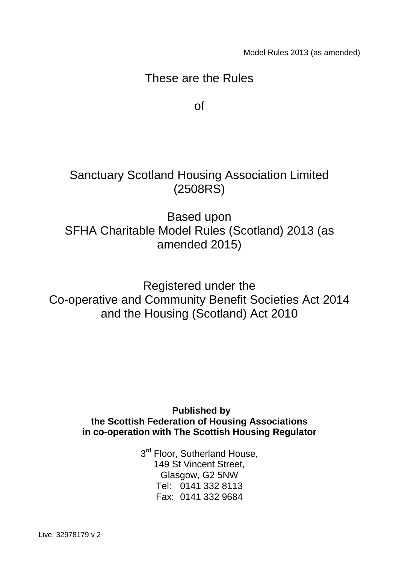Model Rules 2013 (as amended)

## These are the Rules

of

Sanctuary Scotland Housing Association Limited (2508RS)

Based upon SFHA Charitable Model Rules (Scotland) 2013 (as amended 2015)

Registered under the Co-operative and Community Benefit Societies Act 2014 and the Housing (Scotland) Act 2010

> **Published by the Scottish Federation of Housing Associations in co-operation with The Scottish Housing Regulator**

> > 3<sup>rd</sup> Floor, Sutherland House, 149 St Vincent Street, Glasgow, G2 5NW Tel: 0141 332 8113 Fax: 0141 332 9684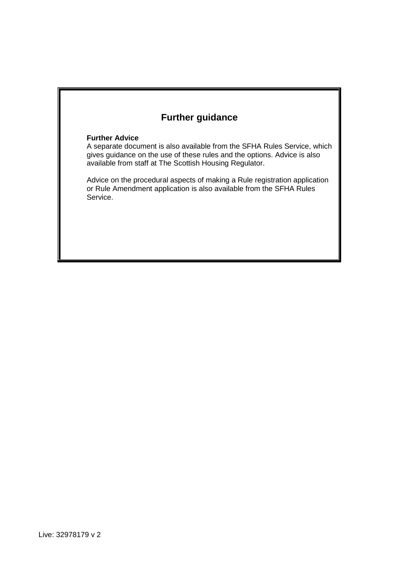## **Further guidance**

#### **Further Advice**

A separate document is also available from the SFHA Rules Service, which gives guidance on the use of these rules and the options. Advice is also available from staff at The Scottish Housing Regulator.

Advice on the procedural aspects of making a Rule registration application or Rule Amendment application is also available from the SFHA Rules Service.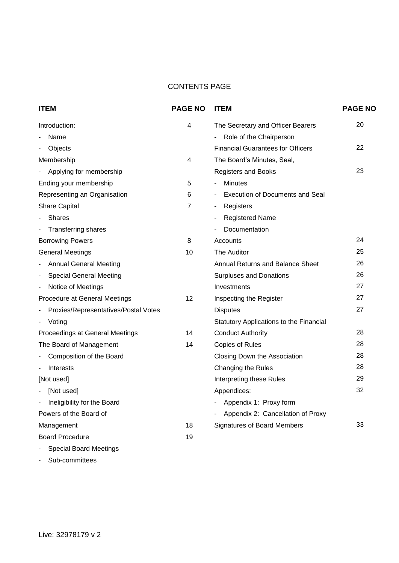#### CONTENTS PAGE

| <b>ITEM</b>                          | <b>PAGE NO</b> | <b>ITEM</b>                              | <b>PAGE NO</b> |
|--------------------------------------|----------------|------------------------------------------|----------------|
| Introduction:                        | 4              | The Secretary and Officer Bearers        | 20             |
| Name                                 |                | - Role of the Chairperson                |                |
| Objects                              |                | <b>Financial Guarantees for Officers</b> | 22             |
| Membership                           | 4              | The Board's Minutes, Seal,               |                |
| Applying for membership              |                | <b>Registers and Books</b>               | 23             |
| Ending your membership               | 5              | <b>Minutes</b>                           |                |
| Representing an Organisation         | 6              | <b>Execution of Documents and Seal</b>   |                |
| Share Capital                        | $\overline{7}$ | Registers<br>$\blacksquare$              |                |
| <b>Shares</b>                        |                | <b>Registered Name</b>                   |                |
| <b>Transferring shares</b>           |                | Documentation                            |                |
| <b>Borrowing Powers</b>              | 8              | Accounts                                 | 24             |
| <b>General Meetings</b>              | 10             | <b>The Auditor</b>                       | 25             |
| <b>Annual General Meeting</b>        |                | Annual Returns and Balance Sheet         | 26             |
| <b>Special General Meeting</b><br>-  |                | <b>Surpluses and Donations</b>           | 26             |
| Notice of Meetings                   |                | Investments                              | 27             |
| Procedure at General Meetings        | 12             | Inspecting the Register                  | 27             |
| Proxies/Representatives/Postal Votes |                | <b>Disputes</b>                          | 27             |
| Voting                               |                | Statutory Applications to the Financial  |                |
| Proceedings at General Meetings      | 14             | <b>Conduct Authority</b>                 | 28             |
| The Board of Management              | 14             | <b>Copies of Rules</b>                   | 28             |
| Composition of the Board             |                | Closing Down the Association             | 28             |
| Interests                            |                | Changing the Rules                       | 28             |
| [Not used]                           |                | Interpreting these Rules                 | 29             |
| [Not used]                           |                | Appendices:                              | 32             |
| Ineligibility for the Board<br>٠     |                | Appendix 1: Proxy form                   |                |
| Powers of the Board of               |                | Appendix 2: Cancellation of Proxy        |                |
| Management                           | 18             | <b>Signatures of Board Members</b>       | 33             |
| <b>Board Procedure</b>               | 19             |                                          |                |
| <b>Special Board Meetings</b>        |                |                                          |                |

- Sub-committees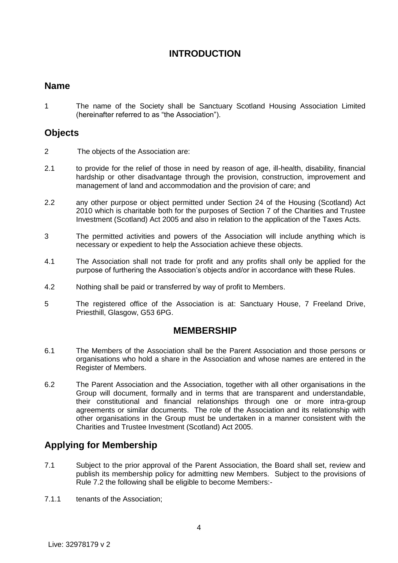## **INTRODUCTION**

#### **Name**

1 The name of the Society shall be Sanctuary Scotland Housing Association Limited (hereinafter referred to as "the Association").

## **Objects**

- 2 The objects of the Association are:
- 2.1 to provide for the relief of those in need by reason of age, ill-health, disability, financial hardship or other disadvantage through the provision, construction, improvement and management of land and accommodation and the provision of care; and
- 2.2 any other purpose or object permitted under Section 24 of the Housing (Scotland) Act 2010 which is charitable both for the purposes of Section 7 of the Charities and Trustee Investment (Scotland) Act 2005 and also in relation to the application of the Taxes Acts.
- 3 The permitted activities and powers of the Association will include anything which is necessary or expedient to help the Association achieve these objects.
- 4.1 The Association shall not trade for profit and any profits shall only be applied for the purpose of furthering the Association's objects and/or in accordance with these Rules.
- 4.2 Nothing shall be paid or transferred by way of profit to Members.
- 5 The registered office of the Association is at: Sanctuary House, 7 Freeland Drive, Priesthill, Glasgow, G53 6PG.

#### **MEMBERSHIP**

- 6.1 The Members of the Association shall be the Parent Association and those persons or organisations who hold a share in the Association and whose names are entered in the Register of Members.
- 6.2 The Parent Association and the Association, together with all other organisations in the Group will document, formally and in terms that are transparent and understandable, their constitutional and financial relationships through one or more intra-group agreements or similar documents. The role of the Association and its relationship with other organisations in the Group must be undertaken in a manner consistent with the Charities and Trustee Investment (Scotland) Act 2005.

## **Applying for Membership**

- 7.1 Subject to the prior approval of the Parent Association, the Board shall set, review and publish its membership policy for admitting new Members. Subject to the provisions of Rule 7.2 the following shall be eligible to become Members:-
- 7.1.1 tenants of the Association;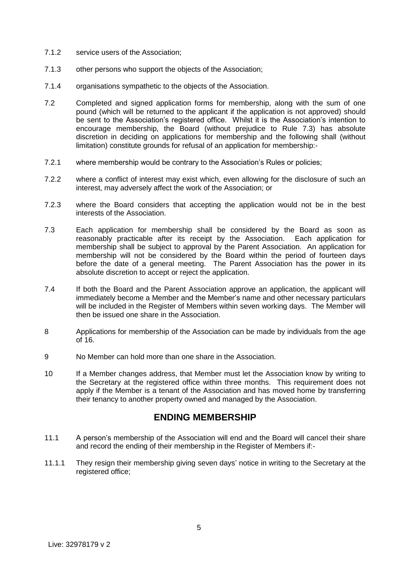- 7.1.2 service users of the Association;
- 7.1.3 other persons who support the objects of the Association;
- 7.1.4 organisations sympathetic to the objects of the Association.
- 7.2 Completed and signed application forms for membership, along with the sum of one pound (which will be returned to the applicant if the application is not approved) should be sent to the Association's registered office. Whilst it is the Association's intention to encourage membership, the Board (without prejudice to Rule 7.3) has absolute discretion in deciding on applications for membership and the following shall (without limitation) constitute grounds for refusal of an application for membership:-
- 7.2.1 where membership would be contrary to the Association's Rules or policies;
- 7.2.2 where a conflict of interest may exist which, even allowing for the disclosure of such an interest, may adversely affect the work of the Association; or
- 7.2.3 where the Board considers that accepting the application would not be in the best interests of the Association.
- 7.3 Each application for membership shall be considered by the Board as soon as reasonably practicable after its receipt by the Association. Each application for membership shall be subject to approval by the Parent Association. An application for membership will not be considered by the Board within the period of fourteen days before the date of a general meeting. The Parent Association has the power in its absolute discretion to accept or reject the application.
- 7.4 If both the Board and the Parent Association approve an application, the applicant will immediately become a Member and the Member's name and other necessary particulars will be included in the Register of Members within seven working days. The Member will then be issued one share in the Association.
- 8 Applications for membership of the Association can be made by individuals from the age of 16.
- 9 No Member can hold more than one share in the Association.
- 10 If a Member changes address, that Member must let the Association know by writing to the Secretary at the registered office within three months. This requirement does not apply if the Member is a tenant of the Association and has moved home by transferring their tenancy to another property owned and managed by the Association.

## **ENDING MEMBERSHIP**

- 11.1 A person's membership of the Association will end and the Board will cancel their share and record the ending of their membership in the Register of Members if:-
- 11.1.1 They resign their membership giving seven days' notice in writing to the Secretary at the registered office;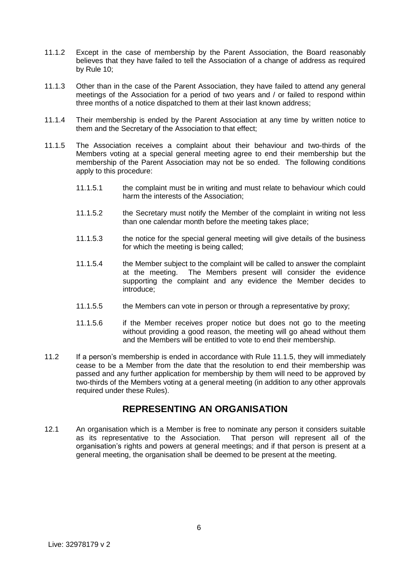- 11.1.2 Except in the case of membership by the Parent Association, the Board reasonably believes that they have failed to tell the Association of a change of address as required by Rule 10;
- 11.1.3 Other than in the case of the Parent Association, they have failed to attend any general meetings of the Association for a period of two years and / or failed to respond within three months of a notice dispatched to them at their last known address;
- 11.1.4 Their membership is ended by the Parent Association at any time by written notice to them and the Secretary of the Association to that effect;
- 11.1.5 The Association receives a complaint about their behaviour and two-thirds of the Members voting at a special general meeting agree to end their membership but the membership of the Parent Association may not be so ended. The following conditions apply to this procedure:
	- 11.1.5.1 the complaint must be in writing and must relate to behaviour which could harm the interests of the Association;
	- 11.1.5.2 the Secretary must notify the Member of the complaint in writing not less than one calendar month before the meeting takes place;
	- 11.1.5.3 the notice for the special general meeting will give details of the business for which the meeting is being called;
	- 11.1.5.4 the Member subject to the complaint will be called to answer the complaint at the meeting. The Members present will consider the evidence supporting the complaint and any evidence the Member decides to introduce;
	- 11.1.5.5 the Members can vote in person or through a representative by proxy;
	- 11.1.5.6 if the Member receives proper notice but does not go to the meeting without providing a good reason, the meeting will go ahead without them and the Members will be entitled to vote to end their membership.
- 11.2 If a person's membership is ended in accordance with Rule 11.1.5, they will immediately cease to be a Member from the date that the resolution to end their membership was passed and any further application for membership by them will need to be approved by two-thirds of the Members voting at a general meeting (in addition to any other approvals required under these Rules).

#### **REPRESENTING AN ORGANISATION**

12.1 An organisation which is a Member is free to nominate any person it considers suitable as its representative to the Association. That person will represent all of the organisation's rights and powers at general meetings; and if that person is present at a general meeting, the organisation shall be deemed to be present at the meeting.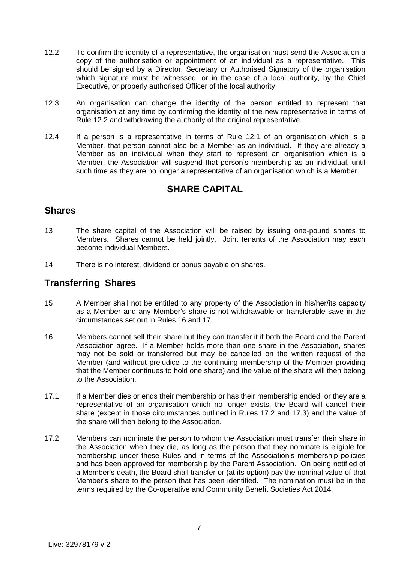- 12.2 To confirm the identity of a representative, the organisation must send the Association a copy of the authorisation or appointment of an individual as a representative. This should be signed by a Director, Secretary or Authorised Signatory of the organisation which signature must be witnessed, or in the case of a local authority, by the Chief Executive, or properly authorised Officer of the local authority.
- 12.3 An organisation can change the identity of the person entitled to represent that organisation at any time by confirming the identity of the new representative in terms of Rule 12.2 and withdrawing the authority of the original representative.
- 12.4 If a person is a representative in terms of Rule 12.1 of an organisation which is a Member, that person cannot also be a Member as an individual. If they are already a Member as an individual when they start to represent an organisation which is a Member, the Association will suspend that person's membership as an individual, until such time as they are no longer a representative of an organisation which is a Member.

## **SHARE CAPITAL**

#### **Shares**

- 13 The share capital of the Association will be raised by issuing one-pound shares to Members. Shares cannot be held jointly. Joint tenants of the Association may each become individual Members.
- 14 There is no interest, dividend or bonus payable on shares.

#### **Transferring Shares**

- 15 A Member shall not be entitled to any property of the Association in his/her/its capacity as a Member and any Member's share is not withdrawable or transferable save in the circumstances set out in Rules 16 and 17.
- 16 Members cannot sell their share but they can transfer it if both the Board and the Parent Association agree. If a Member holds more than one share in the Association, shares may not be sold or transferred but may be cancelled on the written request of the Member (and without prejudice to the continuing membership of the Member providing that the Member continues to hold one share) and the value of the share will then belong to the Association.
- 17.1 If a Member dies or ends their membership or has their membership ended, or they are a representative of an organisation which no longer exists, the Board will cancel their share (except in those circumstances outlined in Rules 17.2 and 17.3) and the value of the share will then belong to the Association.
- 17.2 Members can nominate the person to whom the Association must transfer their share in the Association when they die, as long as the person that they nominate is eligible for membership under these Rules and in terms of the Association's membership policies and has been approved for membership by the Parent Association. On being notified of a Member's death, the Board shall transfer or (at its option) pay the nominal value of that Member's share to the person that has been identified. The nomination must be in the terms required by the Co-operative and Community Benefit Societies Act 2014.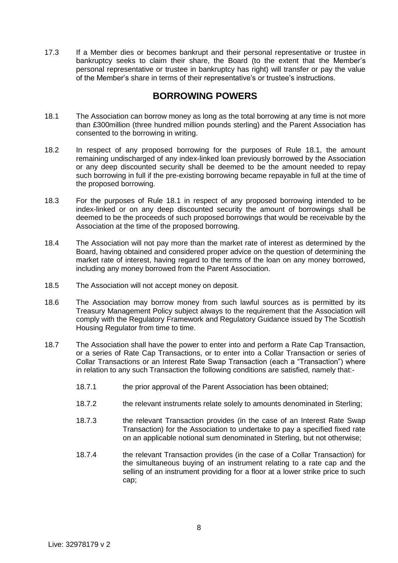17.3 If a Member dies or becomes bankrupt and their personal representative or trustee in bankruptcy seeks to claim their share, the Board (to the extent that the Member's personal representative or trustee in bankruptcy has right) will transfer or pay the value of the Member's share in terms of their representative's or trustee's instructions.

#### **BORROWING POWERS**

- 18.1 The Association can borrow money as long as the total borrowing at any time is not more than £300million (three hundred million pounds sterling) and the Parent Association has consented to the borrowing in writing.
- 18.2 In respect of any proposed borrowing for the purposes of Rule 18.1, the amount remaining undischarged of any index-linked loan previously borrowed by the Association or any deep discounted security shall be deemed to be the amount needed to repay such borrowing in full if the pre-existing borrowing became repayable in full at the time of the proposed borrowing.
- 18.3 For the purposes of Rule 18.1 in respect of any proposed borrowing intended to be index-linked or on any deep discounted security the amount of borrowings shall be deemed to be the proceeds of such proposed borrowings that would be receivable by the Association at the time of the proposed borrowing.
- 18.4 The Association will not pay more than the market rate of interest as determined by the Board, having obtained and considered proper advice on the question of determining the market rate of interest, having regard to the terms of the loan on any money borrowed, including any money borrowed from the Parent Association.
- 18.5 The Association will not accept money on deposit.
- 18.6 The Association may borrow money from such lawful sources as is permitted by its Treasury Management Policy subject always to the requirement that the Association will comply with the Regulatory Framework and Regulatory Guidance issued by The Scottish Housing Regulator from time to time.
- 18.7 The Association shall have the power to enter into and perform a Rate Cap Transaction, or a series of Rate Cap Transactions, or to enter into a Collar Transaction or series of Collar Transactions or an Interest Rate Swap Transaction (each a "Transaction") where in relation to any such Transaction the following conditions are satisfied, namely that:-
	- 18.7.1 the prior approval of the Parent Association has been obtained;
	- 18.7.2 the relevant instruments relate solely to amounts denominated in Sterling;
	- 18.7.3 the relevant Transaction provides (in the case of an Interest Rate Swap Transaction) for the Association to undertake to pay a specified fixed rate on an applicable notional sum denominated in Sterling, but not otherwise;
	- 18.7.4 the relevant Transaction provides (in the case of a Collar Transaction) for the simultaneous buying of an instrument relating to a rate cap and the selling of an instrument providing for a floor at a lower strike price to such cap;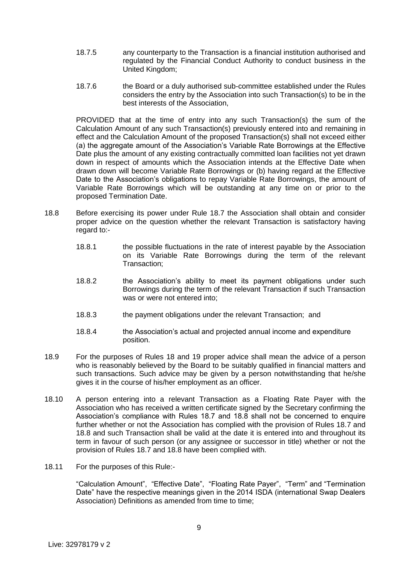- 18.7.5 any counterparty to the Transaction is a financial institution authorised and regulated by the Financial Conduct Authority to conduct business in the United Kingdom;
- 18.7.6 the Board or a duly authorised sub-committee established under the Rules considers the entry by the Association into such Transaction(s) to be in the best interests of the Association,

PROVIDED that at the time of entry into any such Transaction(s) the sum of the Calculation Amount of any such Transaction(s) previously entered into and remaining in effect and the Calculation Amount of the proposed Transaction(s) shall not exceed either (a) the aggregate amount of the Association's Variable Rate Borrowings at the Effective Date plus the amount of any existing contractually committed loan facilities not yet drawn down in respect of amounts which the Association intends at the Effective Date when drawn down will become Variable Rate Borrowings or (b) having regard at the Effective Date to the Association's obligations to repay Variable Rate Borrowings, the amount of Variable Rate Borrowings which will be outstanding at any time on or prior to the proposed Termination Date.

- 18.8 Before exercising its power under Rule 18.7 the Association shall obtain and consider proper advice on the question whether the relevant Transaction is satisfactory having regard to:-
	- 18.8.1 the possible fluctuations in the rate of interest payable by the Association on its Variable Rate Borrowings during the term of the relevant Transaction;
	- 18.8.2 the Association's ability to meet its payment obligations under such Borrowings during the term of the relevant Transaction if such Transaction was or were not entered into;
	- 18.8.3 the payment obligations under the relevant Transaction; and
	- 18.8.4 the Association's actual and projected annual income and expenditure position.
- 18.9 For the purposes of Rules 18 and 19 proper advice shall mean the advice of a person who is reasonably believed by the Board to be suitably qualified in financial matters and such transactions. Such advice may be given by a person notwithstanding that he/she gives it in the course of his/her employment as an officer.
- 18.10 A person entering into a relevant Transaction as a Floating Rate Payer with the Association who has received a written certificate signed by the Secretary confirming the Association's compliance with Rules 18.7 and 18.8 shall not be concerned to enquire further whether or not the Association has complied with the provision of Rules 18.7 and 18.8 and such Transaction shall be valid at the date it is entered into and throughout its term in favour of such person (or any assignee or successor in title) whether or not the provision of Rules 18.7 and 18.8 have been complied with.
- 18.11 For the purposes of this Rule:-

"Calculation Amount", "Effective Date", "Floating Rate Payer", "Term" and "Termination Date" have the respective meanings given in the 2014 ISDA (international Swap Dealers Association) Definitions as amended from time to time;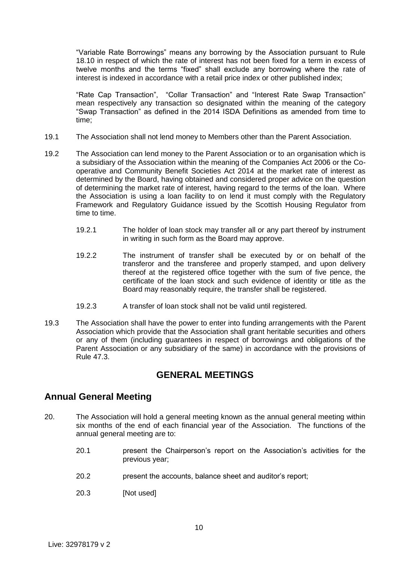"Variable Rate Borrowings" means any borrowing by the Association pursuant to Rule 18.10 in respect of which the rate of interest has not been fixed for a term in excess of twelve months and the terms "fixed" shall exclude any borrowing where the rate of interest is indexed in accordance with a retail price index or other published index;

"Rate Cap Transaction", "Collar Transaction" and "Interest Rate Swap Transaction" mean respectively any transaction so designated within the meaning of the category "Swap Transaction" as defined in the 2014 ISDA Definitions as amended from time to time;

- 19.1 The Association shall not lend money to Members other than the Parent Association.
- 19.2 The Association can lend money to the Parent Association or to an organisation which is a subsidiary of the Association within the meaning of the Companies Act 2006 or the Cooperative and Community Benefit Societies Act 2014 at the market rate of interest as determined by the Board, having obtained and considered proper advice on the question of determining the market rate of interest, having regard to the terms of the loan. Where the Association is using a loan facility to on lend it must comply with the Regulatory Framework and Regulatory Guidance issued by the Scottish Housing Regulator from time to time.
	- 19.2.1 The holder of loan stock may transfer all or any part thereof by instrument in writing in such form as the Board may approve.
	- 19.2.2 The instrument of transfer shall be executed by or on behalf of the transferor and the transferee and properly stamped, and upon delivery thereof at the registered office together with the sum of five pence, the certificate of the loan stock and such evidence of identity or title as the Board may reasonably require, the transfer shall be registered.
	- 19.2.3 A transfer of loan stock shall not be valid until registered.
- 19.3 The Association shall have the power to enter into funding arrangements with the Parent Association which provide that the Association shall grant heritable securities and others or any of them (including guarantees in respect of borrowings and obligations of the Parent Association or any subsidiary of the same) in accordance with the provisions of Rule 47.3.

## **GENERAL MEETINGS**

## **Annual General Meeting**

- 20. The Association will hold a general meeting known as the annual general meeting within six months of the end of each financial year of the Association. The functions of the annual general meeting are to:
	- 20.1 present the Chairperson's report on the Association's activities for the previous year;
	- 20.2 present the accounts, balance sheet and auditor's report;
	- 20.3 [Not used]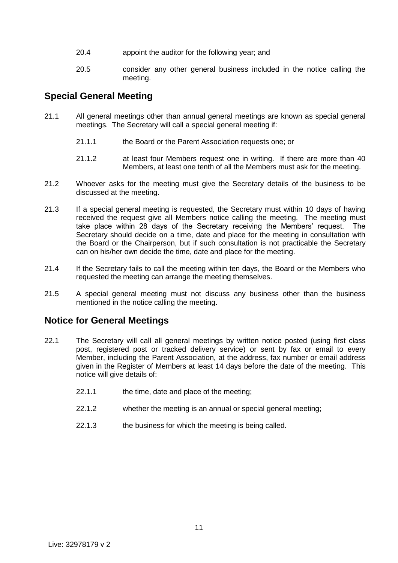- 20.4 appoint the auditor for the following year; and
- 20.5 consider any other general business included in the notice calling the meeting.

#### **Special General Meeting**

- 21.1 All general meetings other than annual general meetings are known as special general meetings. The Secretary will call a special general meeting if:
	- 21.1.1 the Board or the Parent Association requests one; or
	- 21.1.2 at least four Members request one in writing. If there are more than 40 Members, at least one tenth of all the Members must ask for the meeting.
- 21.2 Whoever asks for the meeting must give the Secretary details of the business to be discussed at the meeting.
- 21.3 If a special general meeting is requested, the Secretary must within 10 days of having received the request give all Members notice calling the meeting. The meeting must take place within 28 days of the Secretary receiving the Members' request. The Secretary should decide on a time, date and place for the meeting in consultation with the Board or the Chairperson, but if such consultation is not practicable the Secretary can on his/her own decide the time, date and place for the meeting.
- 21.4 If the Secretary fails to call the meeting within ten days, the Board or the Members who requested the meeting can arrange the meeting themselves.
- 21.5 A special general meeting must not discuss any business other than the business mentioned in the notice calling the meeting.

## **Notice for General Meetings**

- 22.1 The Secretary will call all general meetings by written notice posted (using first class post, registered post or tracked delivery service) or sent by fax or email to every Member, including the Parent Association, at the address, fax number or email address given in the Register of Members at least 14 days before the date of the meeting. This notice will give details of:
	- 22.1.1 the time, date and place of the meeting;
	- 22.1.2 whether the meeting is an annual or special general meeting;
	- 22.1.3 the business for which the meeting is being called.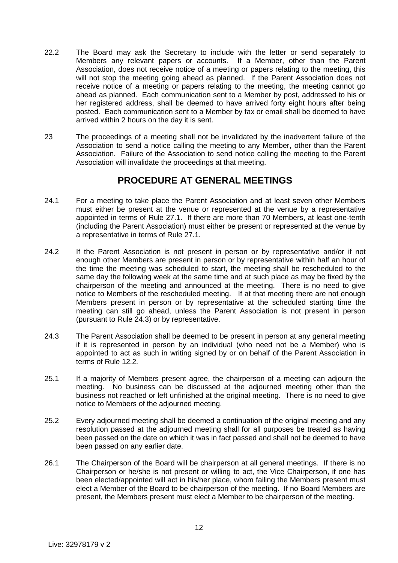- 22.2 The Board may ask the Secretary to include with the letter or send separately to Members any relevant papers or accounts. If a Member, other than the Parent Association, does not receive notice of a meeting or papers relating to the meeting, this will not stop the meeting going ahead as planned. If the Parent Association does not receive notice of a meeting or papers relating to the meeting, the meeting cannot go ahead as planned. Each communication sent to a Member by post, addressed to his or her registered address, shall be deemed to have arrived forty eight hours after being posted. Each communication sent to a Member by fax or email shall be deemed to have arrived within 2 hours on the day it is sent.
- 23 The proceedings of a meeting shall not be invalidated by the inadvertent failure of the Association to send a notice calling the meeting to any Member, other than the Parent Association. Failure of the Association to send notice calling the meeting to the Parent Association will invalidate the proceedings at that meeting.

## **PROCEDURE AT GENERAL MEETINGS**

- 24.1 For a meeting to take place the Parent Association and at least seven other Members must either be present at the venue or represented at the venue by a representative appointed in terms of Rule 27.1. If there are more than 70 Members, at least one-tenth (including the Parent Association) must either be present or represented at the venue by a representative in terms of Rule 27.1.
- 24.2 If the Parent Association is not present in person or by representative and/or if not enough other Members are present in person or by representative within half an hour of the time the meeting was scheduled to start, the meeting shall be rescheduled to the same day the following week at the same time and at such place as may be fixed by the chairperson of the meeting and announced at the meeting. There is no need to give notice to Members of the rescheduled meeting. If at that meeting there are not enough Members present in person or by representative at the scheduled starting time the meeting can still go ahead, unless the Parent Association is not present in person (pursuant to Rule 24.3) or by representative.
- 24.3 The Parent Association shall be deemed to be present in person at any general meeting if it is represented in person by an individual (who need not be a Member) who is appointed to act as such in writing signed by or on behalf of the Parent Association in terms of Rule 12.2.
- 25.1 If a majority of Members present agree, the chairperson of a meeting can adjourn the meeting. No business can be discussed at the adjourned meeting other than the business not reached or left unfinished at the original meeting. There is no need to give notice to Members of the adjourned meeting.
- 25.2 Every adjourned meeting shall be deemed a continuation of the original meeting and any resolution passed at the adjourned meeting shall for all purposes be treated as having been passed on the date on which it was in fact passed and shall not be deemed to have been passed on any earlier date.
- 26.1 The Chairperson of the Board will be chairperson at all general meetings. If there is no Chairperson or he/she is not present or willing to act, the Vice Chairperson, if one has been elected/appointed will act in his/her place, whom failing the Members present must elect a Member of the Board to be chairperson of the meeting. If no Board Members are present, the Members present must elect a Member to be chairperson of the meeting.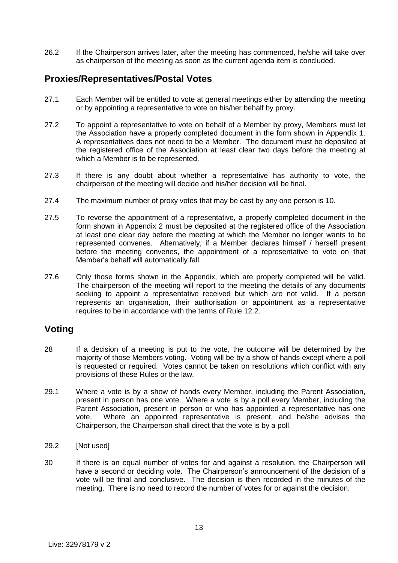26.2 If the Chairperson arrives later, after the meeting has commenced, he/she will take over as chairperson of the meeting as soon as the current agenda item is concluded.

## **Proxies/Representatives/Postal Votes**

- 27.1 Each Member will be entitled to vote at general meetings either by attending the meeting or by appointing a representative to vote on his/her behalf by proxy.
- 27.2 To appoint a representative to vote on behalf of a Member by proxy, Members must let the Association have a properly completed document in the form shown in Appendix 1. A representatives does not need to be a Member. The document must be deposited at the registered office of the Association at least clear two days before the meeting at which a Member is to be represented.
- 27.3 If there is any doubt about whether a representative has authority to vote, the chairperson of the meeting will decide and his/her decision will be final.
- 27.4 The maximum number of proxy votes that may be cast by any one person is 10.
- 27.5 To reverse the appointment of a representative, a properly completed document in the form shown in Appendix 2 must be deposited at the registered office of the Association at least one clear day before the meeting at which the Member no longer wants to be represented convenes. Alternatively, if a Member declares himself / herself present before the meeting convenes, the appointment of a representative to vote on that Member's behalf will automatically fall.
- 27.6 Only those forms shown in the Appendix, which are properly completed will be valid. The chairperson of the meeting will report to the meeting the details of any documents seeking to appoint a representative received but which are not valid. If a person represents an organisation, their authorisation or appointment as a representative requires to be in accordance with the terms of Rule 12.2.

#### **Voting**

- 28 If a decision of a meeting is put to the vote, the outcome will be determined by the majority of those Members voting. Voting will be by a show of hands except where a poll is requested or required. Votes cannot be taken on resolutions which conflict with any provisions of these Rules or the law.
- 29.1 Where a vote is by a show of hands every Member, including the Parent Association, present in person has one vote. Where a vote is by a poll every Member, including the Parent Association, present in person or who has appointed a representative has one vote. Where an appointed representative is present, and he/she advises the Chairperson, the Chairperson shall direct that the vote is by a poll.
- 29.2 [Not used]
- 30 If there is an equal number of votes for and against a resolution, the Chairperson will have a second or deciding vote. The Chairperson's announcement of the decision of a vote will be final and conclusive. The decision is then recorded in the minutes of the meeting. There is no need to record the number of votes for or against the decision.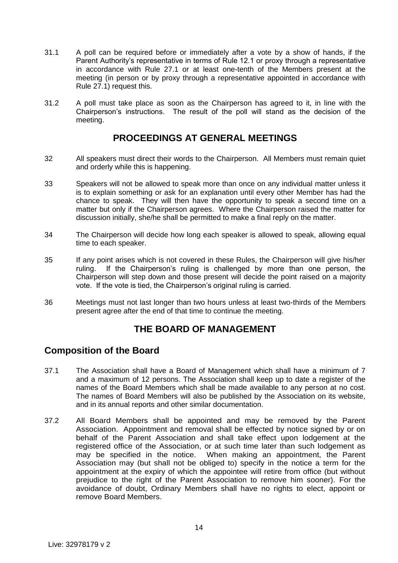- 31.1 A poll can be required before or immediately after a vote by a show of hands, if the Parent Authority's representative in terms of Rule 12.1 or proxy through a representative in accordance with Rule 27.1 or at least one-tenth of the Members present at the meeting (in person or by proxy through a representative appointed in accordance with Rule 27.1) request this.
- 31.2 A poll must take place as soon as the Chairperson has agreed to it, in line with the Chairperson's instructions. The result of the poll will stand as the decision of the meeting.

## **PROCEEDINGS AT GENERAL MEETINGS**

- 32 All speakers must direct their words to the Chairperson. All Members must remain quiet and orderly while this is happening.
- 33 Speakers will not be allowed to speak more than once on any individual matter unless it is to explain something or ask for an explanation until every other Member has had the chance to speak. They will then have the opportunity to speak a second time on a matter but only if the Chairperson agrees. Where the Chairperson raised the matter for discussion initially, she/he shall be permitted to make a final reply on the matter.
- 34 The Chairperson will decide how long each speaker is allowed to speak, allowing equal time to each speaker.
- 35 If any point arises which is not covered in these Rules, the Chairperson will give his/her ruling. If the Chairperson's ruling is challenged by more than one person, the Chairperson will step down and those present will decide the point raised on a majority vote. If the vote is tied, the Chairperson's original ruling is carried.
- 36 Meetings must not last longer than two hours unless at least two-thirds of the Members present agree after the end of that time to continue the meeting.

## **THE BOARD OF MANAGEMENT**

## **Composition of the Board**

- 37.1 The Association shall have a Board of Management which shall have a minimum of 7 and a maximum of 12 persons. The Association shall keep up to date a register of the names of the Board Members which shall be made available to any person at no cost. The names of Board Members will also be published by the Association on its website, and in its annual reports and other similar documentation.
- 37.2 All Board Members shall be appointed and may be removed by the Parent Association. Appointment and removal shall be effected by notice signed by or on behalf of the Parent Association and shall take effect upon lodgement at the registered office of the Association, or at such time later than such lodgement as may be specified in the notice. When making an appointment, the Parent Association may (but shall not be obliged to) specify in the notice a term for the appointment at the expiry of which the appointee will retire from office (but without prejudice to the right of the Parent Association to remove him sooner). For the avoidance of doubt, Ordinary Members shall have no rights to elect, appoint or remove Board Members.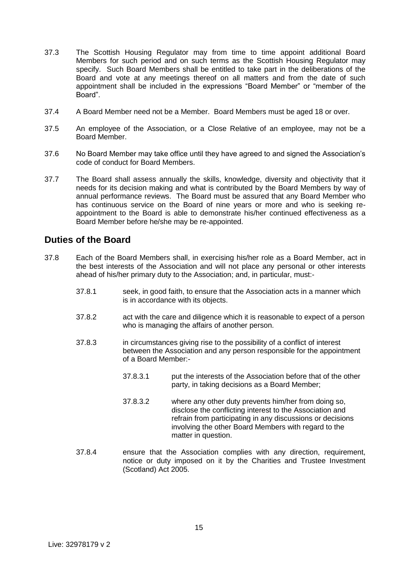- 37.3 The Scottish Housing Regulator may from time to time appoint additional Board Members for such period and on such terms as the Scottish Housing Regulator may specify. Such Board Members shall be entitled to take part in the deliberations of the Board and vote at any meetings thereof on all matters and from the date of such appointment shall be included in the expressions "Board Member" or "member of the Board".
- 37.4 A Board Member need not be a Member. Board Members must be aged 18 or over.
- 37.5 An employee of the Association, or a Close Relative of an employee, may not be a Board Member.
- 37.6 No Board Member may take office until they have agreed to and signed the Association's code of conduct for Board Members.
- 37.7 The Board shall assess annually the skills, knowledge, diversity and objectivity that it needs for its decision making and what is contributed by the Board Members by way of annual performance reviews. The Board must be assured that any Board Member who has continuous service on the Board of nine years or more and who is seeking reappointment to the Board is able to demonstrate his/her continued effectiveness as a Board Member before he/she may be re-appointed.

#### **Duties of the Board**

- 37.8 Each of the Board Members shall, in exercising his/her role as a Board Member, act in the best interests of the Association and will not place any personal or other interests ahead of his/her primary duty to the Association; and, in particular, must:-
	- 37.8.1 seek, in good faith, to ensure that the Association acts in a manner which is in accordance with its objects.
	- 37.8.2 act with the care and diligence which it is reasonable to expect of a person who is managing the affairs of another person.
	- 37.8.3 in circumstances giving rise to the possibility of a conflict of interest between the Association and any person responsible for the appointment of a Board Member:-
		- 37.8.3.1 put the interests of the Association before that of the other party, in taking decisions as a Board Member;
		- 37.8.3.2 where any other duty prevents him/her from doing so, disclose the conflicting interest to the Association and refrain from participating in any discussions or decisions involving the other Board Members with regard to the matter in question.
	- 37.8.4 ensure that the Association complies with any direction, requirement, notice or duty imposed on it by the Charities and Trustee Investment (Scotland) Act 2005.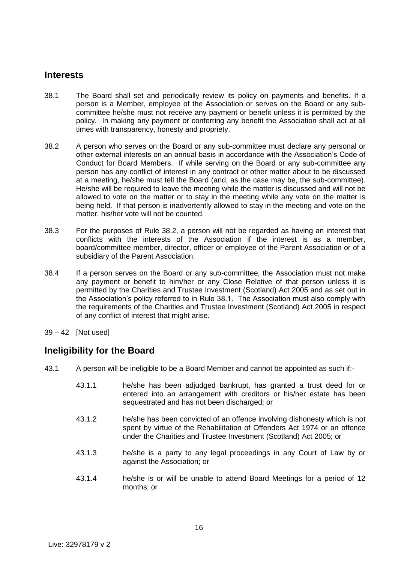#### **Interests**

- 38.1 The Board shall set and periodically review its policy on payments and benefits. If a person is a Member, employee of the Association or serves on the Board or any subcommittee he/she must not receive any payment or benefit unless it is permitted by the policy. In making any payment or conferring any benefit the Association shall act at all times with transparency, honesty and propriety.
- 38.2 A person who serves on the Board or any sub-committee must declare any personal or other external interests on an annual basis in accordance with the Association's Code of Conduct for Board Members. If while serving on the Board or any sub-committee any person has any conflict of interest in any contract or other matter about to be discussed at a meeting, he/she must tell the Board (and, as the case may be, the sub-committee). He/she will be required to leave the meeting while the matter is discussed and will not be allowed to vote on the matter or to stay in the meeting while any vote on the matter is being held. If that person is inadvertently allowed to stay in the meeting and vote on the matter, his/her vote will not be counted.
- 38.3 For the purposes of Rule 38.2, a person will not be regarded as having an interest that conflicts with the interests of the Association if the interest is as a member, board/committee member, director, officer or employee of the Parent Association or of a subsidiary of the Parent Association.
- 38.4 If a person serves on the Board or any sub-committee, the Association must not make any payment or benefit to him/her or any Close Relative of that person unless it is permitted by the Charities and Trustee Investment (Scotland) Act 2005 and as set out in the Association's policy referred to in Rule 38.1. The Association must also comply with the requirements of the Charities and Trustee Investment (Scotland) Act 2005 in respect of any conflict of interest that might arise.
- 39 42 [Not used]

## **Ineligibility for the Board**

- 43.1 A person will be ineligible to be a Board Member and cannot be appointed as such if:-
	- 43.1.1 he/she has been adjudged bankrupt, has granted a trust deed for or entered into an arrangement with creditors or his/her estate has been sequestrated and has not been discharged; or
	- 43.1.2 he/she has been convicted of an offence involving dishonesty which is not spent by virtue of the Rehabilitation of Offenders Act 1974 or an offence under the Charities and Trustee Investment (Scotland) Act 2005; or
	- 43.1.3 he/she is a party to any legal proceedings in any Court of Law by or against the Association; or
	- 43.1.4 he/she is or will be unable to attend Board Meetings for a period of 12 months; or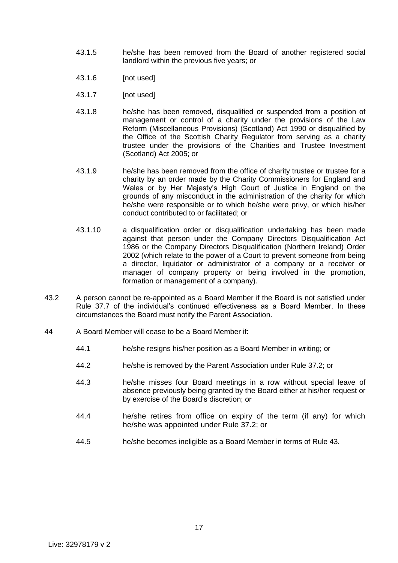- 43.1.5 he/she has been removed from the Board of another registered social landlord within the previous five years; or
- 43.1.6 [not used]
- 43.1.7 [not used]
- 43.1.8 he/she has been removed, disqualified or suspended from a position of management or control of a charity under the provisions of the Law Reform (Miscellaneous Provisions) (Scotland) Act 1990 or disqualified by the Office of the Scottish Charity Regulator from serving as a charity trustee under the provisions of the Charities and Trustee Investment (Scotland) Act 2005; or
- 43.1.9 he/she has been removed from the office of charity trustee or trustee for a charity by an order made by the Charity Commissioners for England and Wales or by Her Majesty's High Court of Justice in England on the grounds of any misconduct in the administration of the charity for which he/she were responsible or to which he/she were privy, or which his/her conduct contributed to or facilitated; or
- 43.1.10 a disqualification order or disqualification undertaking has been made against that person under the Company Directors Disqualification Act 1986 or the Company Directors Disqualification (Northern Ireland) Order 2002 (which relate to the power of a Court to prevent someone from being a director, liquidator or administrator of a company or a receiver or manager of company property or being involved in the promotion, formation or management of a company).
- 43.2 A person cannot be re-appointed as a Board Member if the Board is not satisfied under Rule 37.7 of the individual's continued effectiveness as a Board Member. In these circumstances the Board must notify the Parent Association.
- 44 A Board Member will cease to be a Board Member if:
	- 44.1 he/she resigns his/her position as a Board Member in writing; or
	- 44.2 he/she is removed by the Parent Association under Rule 37.2; or
	- 44.3 he/she misses four Board meetings in a row without special leave of absence previously being granted by the Board either at his/her request or by exercise of the Board's discretion; or
	- 44.4 he/she retires from office on expiry of the term (if any) for which he/she was appointed under Rule 37.2; or
	- 44.5 he/she becomes ineligible as a Board Member in terms of Rule 43.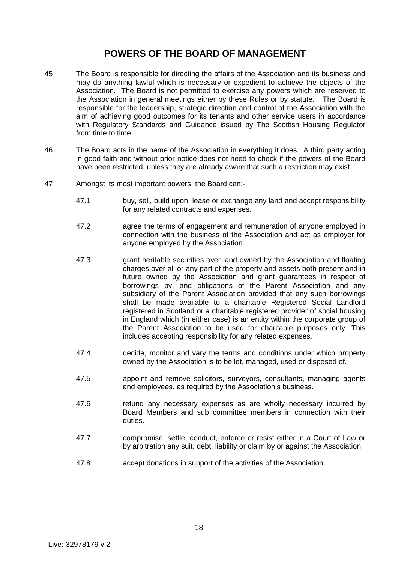## **POWERS OF THE BOARD OF MANAGEMENT**

- 45 The Board is responsible for directing the affairs of the Association and its business and may do anything lawful which is necessary or expedient to achieve the objects of the Association. The Board is not permitted to exercise any powers which are reserved to the Association in general meetings either by these Rules or by statute. The Board is responsible for the leadership, strategic direction and control of the Association with the aim of achieving good outcomes for its tenants and other service users in accordance with Regulatory Standards and Guidance issued by The Scottish Housing Regulator from time to time.
- 46 The Board acts in the name of the Association in everything it does. A third party acting in good faith and without prior notice does not need to check if the powers of the Board have been restricted, unless they are already aware that such a restriction may exist.
- 47 Amongst its most important powers, the Board can:-
	- 47.1 buy, sell, build upon, lease or exchange any land and accept responsibility for any related contracts and expenses.
	- 47.2 agree the terms of engagement and remuneration of anyone employed in connection with the business of the Association and act as employer for anyone employed by the Association.
	- 47.3 grant heritable securities over land owned by the Association and floating charges over all or any part of the property and assets both present and in future owned by the Association and grant guarantees in respect of borrowings by, and obligations of the Parent Association and any subsidiary of the Parent Association provided that any such borrowings shall be made available to a charitable Registered Social Landlord registered in Scotland or a charitable registered provider of social housing in England which (in either case) is an entity within the corporate group of the Parent Association to be used for charitable purposes only. This includes accepting responsibility for any related expenses.
	- 47.4 decide, monitor and vary the terms and conditions under which property owned by the Association is to be let, managed, used or disposed of.
	- 47.5 appoint and remove solicitors, surveyors, consultants, managing agents and employees, as required by the Association's business.
	- 47.6 refund any necessary expenses as are wholly necessary incurred by Board Members and sub committee members in connection with their duties.
	- 47.7 compromise, settle, conduct, enforce or resist either in a Court of Law or by arbitration any suit, debt, liability or claim by or against the Association.
	- 47.8 accept donations in support of the activities of the Association.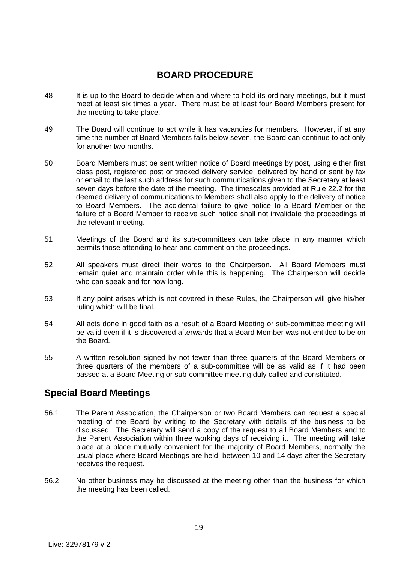## **BOARD PROCEDURE**

- 48 It is up to the Board to decide when and where to hold its ordinary meetings, but it must meet at least six times a year. There must be at least four Board Members present for the meeting to take place.
- 49 The Board will continue to act while it has vacancies for members. However, if at any time the number of Board Members falls below seven, the Board can continue to act only for another two months.
- 50 Board Members must be sent written notice of Board meetings by post, using either first class post, registered post or tracked delivery service, delivered by hand or sent by fax or email to the last such address for such communications given to the Secretary at least seven days before the date of the meeting. The timescales provided at Rule 22.2 for the deemed delivery of communications to Members shall also apply to the delivery of notice to Board Members. The accidental failure to give notice to a Board Member or the failure of a Board Member to receive such notice shall not invalidate the proceedings at the relevant meeting.
- 51 Meetings of the Board and its sub-committees can take place in any manner which permits those attending to hear and comment on the proceedings.
- 52 All speakers must direct their words to the Chairperson. All Board Members must remain quiet and maintain order while this is happening. The Chairperson will decide who can speak and for how long.
- 53 If any point arises which is not covered in these Rules, the Chairperson will give his/her ruling which will be final.
- 54 All acts done in good faith as a result of a Board Meeting or sub-committee meeting will be valid even if it is discovered afterwards that a Board Member was not entitled to be on the Board.
- 55 A written resolution signed by not fewer than three quarters of the Board Members or three quarters of the members of a sub-committee will be as valid as if it had been passed at a Board Meeting or sub-committee meeting duly called and constituted.

## **Special Board Meetings**

- 56.1 The Parent Association, the Chairperson or two Board Members can request a special meeting of the Board by writing to the Secretary with details of the business to be discussed. The Secretary will send a copy of the request to all Board Members and to the Parent Association within three working days of receiving it. The meeting will take place at a place mutually convenient for the majority of Board Members, normally the usual place where Board Meetings are held, between 10 and 14 days after the Secretary receives the request.
- 56.2 No other business may be discussed at the meeting other than the business for which the meeting has been called.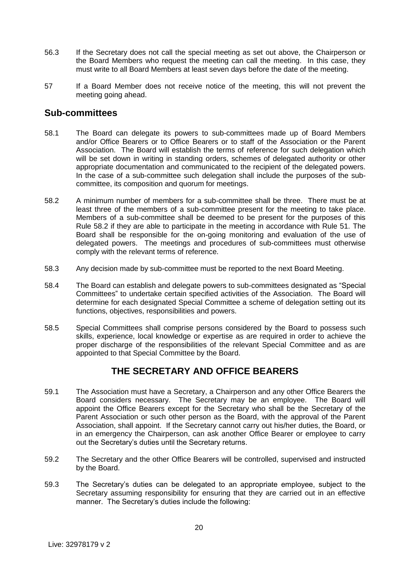- 56.3 If the Secretary does not call the special meeting as set out above, the Chairperson or the Board Members who request the meeting can call the meeting. In this case, they must write to all Board Members at least seven days before the date of the meeting.
- 57 If a Board Member does not receive notice of the meeting, this will not prevent the meeting going ahead.

#### **Sub-committees**

- 58.1 The Board can delegate its powers to sub-committees made up of Board Members and/or Office Bearers or to Office Bearers or to staff of the Association or the Parent Association. The Board will establish the terms of reference for such delegation which will be set down in writing in standing orders, schemes of delegated authority or other appropriate documentation and communicated to the recipient of the delegated powers. In the case of a sub-committee such delegation shall include the purposes of the subcommittee, its composition and quorum for meetings.
- 58.2 A minimum number of members for a sub-committee shall be three. There must be at least three of the members of a sub-committee present for the meeting to take place. Members of a sub-committee shall be deemed to be present for the purposes of this Rule 58.2 if they are able to participate in the meeting in accordance with Rule 51. The Board shall be responsible for the on-going monitoring and evaluation of the use of delegated powers. The meetings and procedures of sub-committees must otherwise comply with the relevant terms of reference.
- 58.3 Any decision made by sub-committee must be reported to the next Board Meeting.
- 58.4 The Board can establish and delegate powers to sub-committees designated as "Special Committees" to undertake certain specified activities of the Association. The Board will determine for each designated Special Committee a scheme of delegation setting out its functions, objectives, responsibilities and powers.
- 58.5 Special Committees shall comprise persons considered by the Board to possess such skills, experience, local knowledge or expertise as are required in order to achieve the proper discharge of the responsibilities of the relevant Special Committee and as are appointed to that Special Committee by the Board.

## **THE SECRETARY AND OFFICE BEARERS**

- 59.1 The Association must have a Secretary, a Chairperson and any other Office Bearers the Board considers necessary. The Secretary may be an employee. The Board will appoint the Office Bearers except for the Secretary who shall be the Secretary of the Parent Association or such other person as the Board, with the approval of the Parent Association, shall appoint. If the Secretary cannot carry out his/her duties, the Board, or in an emergency the Chairperson, can ask another Office Bearer or employee to carry out the Secretary's duties until the Secretary returns.
- 59.2 The Secretary and the other Office Bearers will be controlled, supervised and instructed by the Board.
- 59.3 The Secretary's duties can be delegated to an appropriate employee, subject to the Secretary assuming responsibility for ensuring that they are carried out in an effective manner. The Secretary's duties include the following: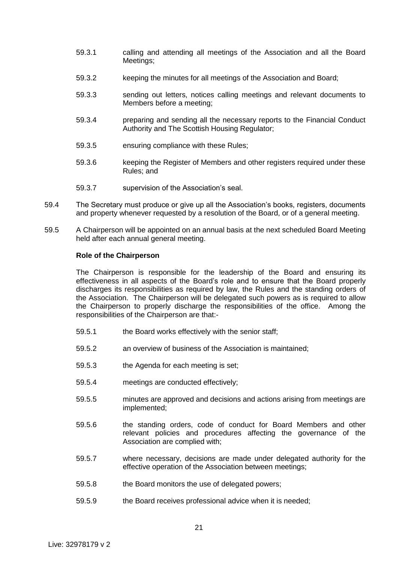- 59.3.1 calling and attending all meetings of the Association and all the Board Meetings;
- 59.3.2 keeping the minutes for all meetings of the Association and Board;
- 59.3.3 sending out letters, notices calling meetings and relevant documents to Members before a meeting;
- 59.3.4 preparing and sending all the necessary reports to the Financial Conduct Authority and The Scottish Housing Regulator;
- 59.3.5 ensuring compliance with these Rules;
- 59.3.6 keeping the Register of Members and other registers required under these Rules; and
- 59.3.7 supervision of the Association's seal.
- 59.4 The Secretary must produce or give up all the Association's books, registers, documents and property whenever requested by a resolution of the Board, or of a general meeting.
- 59.5 A Chairperson will be appointed on an annual basis at the next scheduled Board Meeting held after each annual general meeting.

#### **Role of the Chairperson**

The Chairperson is responsible for the leadership of the Board and ensuring its effectiveness in all aspects of the Board's role and to ensure that the Board properly discharges its responsibilities as required by law, the Rules and the standing orders of the Association. The Chairperson will be delegated such powers as is required to allow the Chairperson to properly discharge the responsibilities of the office. Among the responsibilities of the Chairperson are that:-

- 59.5.1 the Board works effectively with the senior staff;
- 59.5.2 an overview of business of the Association is maintained;
- 59.5.3 the Agenda for each meeting is set;
- 59.5.4 meetings are conducted effectively;
- 59.5.5 minutes are approved and decisions and actions arising from meetings are implemented;
- 59.5.6 the standing orders, code of conduct for Board Members and other relevant policies and procedures affecting the governance of the Association are complied with;
- 59.5.7 where necessary, decisions are made under delegated authority for the effective operation of the Association between meetings;
- 59.5.8 the Board monitors the use of delegated powers;
- 59.5.9 the Board receives professional advice when it is needed;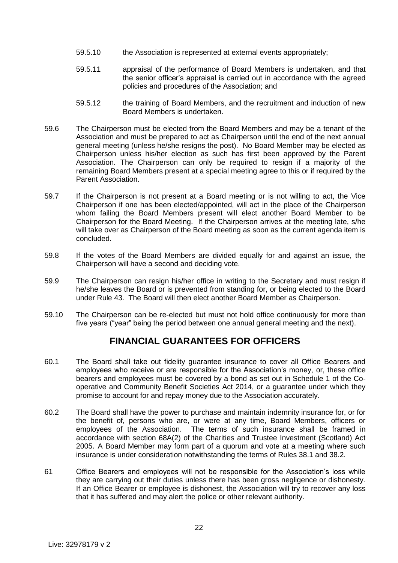- 59.5.10 the Association is represented at external events appropriately;
- 59.5.11 appraisal of the performance of Board Members is undertaken, and that the senior officer's appraisal is carried out in accordance with the agreed policies and procedures of the Association; and
- 59.5.12 the training of Board Members, and the recruitment and induction of new Board Members is undertaken.
- 59.6 The Chairperson must be elected from the Board Members and may be a tenant of the Association and must be prepared to act as Chairperson until the end of the next annual general meeting (unless he/she resigns the post). No Board Member may be elected as Chairperson unless his/her election as such has first been approved by the Parent Association. The Chairperson can only be required to resign if a majority of the remaining Board Members present at a special meeting agree to this or if required by the Parent Association.
- 59.7 If the Chairperson is not present at a Board meeting or is not willing to act, the Vice Chairperson if one has been elected/appointed, will act in the place of the Chairperson whom failing the Board Members present will elect another Board Member to be Chairperson for the Board Meeting. If the Chairperson arrives at the meeting late, s/he will take over as Chairperson of the Board meeting as soon as the current agenda item is concluded.
- 59.8 If the votes of the Board Members are divided equally for and against an issue, the Chairperson will have a second and deciding vote.
- 59.9 The Chairperson can resign his/her office in writing to the Secretary and must resign if he/she leaves the Board or is prevented from standing for, or being elected to the Board under Rule 43. The Board will then elect another Board Member as Chairperson.
- 59.10 The Chairperson can be re-elected but must not hold office continuously for more than five years ("year" being the period between one annual general meeting and the next).

## **FINANCIAL GUARANTEES FOR OFFICERS**

- 60.1 The Board shall take out fidelity guarantee insurance to cover all Office Bearers and employees who receive or are responsible for the Association's money, or, these office bearers and employees must be covered by a bond as set out in Schedule 1 of the Cooperative and Community Benefit Societies Act 2014, or a guarantee under which they promise to account for and repay money due to the Association accurately.
- 60.2 The Board shall have the power to purchase and maintain indemnity insurance for, or for the benefit of, persons who are, or were at any time, Board Members, officers or employees of the Association. The terms of such insurance shall be framed in accordance with section 68A(2) of the Charities and Trustee Investment (Scotland) Act 2005. A Board Member may form part of a quorum and vote at a meeting where such insurance is under consideration notwithstanding the terms of Rules 38.1 and 38.2.
- 61 Office Bearers and employees will not be responsible for the Association's loss while they are carrying out their duties unless there has been gross negligence or dishonesty. If an Office Bearer or employee is dishonest, the Association will try to recover any loss that it has suffered and may alert the police or other relevant authority.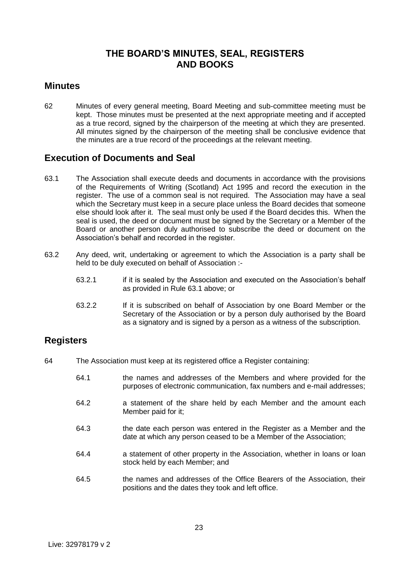## **THE BOARD'S MINUTES, SEAL, REGISTERS AND BOOKS**

#### **Minutes**

62 Minutes of every general meeting, Board Meeting and sub-committee meeting must be kept. Those minutes must be presented at the next appropriate meeting and if accepted as a true record, signed by the chairperson of the meeting at which they are presented. All minutes signed by the chairperson of the meeting shall be conclusive evidence that the minutes are a true record of the proceedings at the relevant meeting.

## **Execution of Documents and Seal**

- 63.1 The Association shall execute deeds and documents in accordance with the provisions of the Requirements of Writing (Scotland) Act 1995 and record the execution in the register. The use of a common seal is not required. The Association may have a seal which the Secretary must keep in a secure place unless the Board decides that someone else should look after it. The seal must only be used if the Board decides this. When the seal is used, the deed or document must be signed by the Secretary or a Member of the Board or another person duly authorised to subscribe the deed or document on the Association's behalf and recorded in the register.
- 63.2 Any deed, writ, undertaking or agreement to which the Association is a party shall be held to be duly executed on behalf of Association :-
	- 63.2.1 if it is sealed by the Association and executed on the Association's behalf as provided in Rule 63.1 above; or
	- 63.2.2 If it is subscribed on behalf of Association by one Board Member or the Secretary of the Association or by a person duly authorised by the Board as a signatory and is signed by a person as a witness of the subscription.

## **Registers**

- 64 The Association must keep at its registered office a Register containing:
	- 64.1 the names and addresses of the Members and where provided for the purposes of electronic communication, fax numbers and e-mail addresses;
	- 64.2 a statement of the share held by each Member and the amount each Member paid for it;
	- 64.3 the date each person was entered in the Register as a Member and the date at which any person ceased to be a Member of the Association;
	- 64.4 a statement of other property in the Association, whether in loans or loan stock held by each Member; and
	- 64.5 the names and addresses of the Office Bearers of the Association, their positions and the dates they took and left office.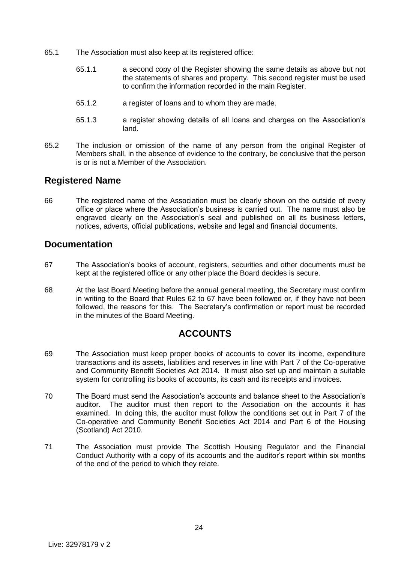- 65.1 The Association must also keep at its registered office:
	- 65.1.1 a second copy of the Register showing the same details as above but not the statements of shares and property. This second register must be used to confirm the information recorded in the main Register.
	- 65.1.2 a register of loans and to whom they are made.
	- 65.1.3 a register showing details of all loans and charges on the Association's land.
- 65.2 The inclusion or omission of the name of any person from the original Register of Members shall, in the absence of evidence to the contrary, be conclusive that the person is or is not a Member of the Association.

## **Registered Name**

66 The registered name of the Association must be clearly shown on the outside of every office or place where the Association's business is carried out. The name must also be engraved clearly on the Association's seal and published on all its business letters, notices, adverts, official publications, website and legal and financial documents.

#### **Documentation**

- 67 The Association's books of account, registers, securities and other documents must be kept at the registered office or any other place the Board decides is secure.
- 68 At the last Board Meeting before the annual general meeting, the Secretary must confirm in writing to the Board that Rules 62 to 67 have been followed or, if they have not been followed, the reasons for this. The Secretary's confirmation or report must be recorded in the minutes of the Board Meeting.

## **ACCOUNTS**

- 69 The Association must keep proper books of accounts to cover its income, expenditure transactions and its assets, liabilities and reserves in line with Part 7 of the Co-operative and Community Benefit Societies Act 2014. It must also set up and maintain a suitable system for controlling its books of accounts, its cash and its receipts and invoices.
- 70 The Board must send the Association's accounts and balance sheet to the Association's auditor. The auditor must then report to the Association on the accounts it has examined. In doing this, the auditor must follow the conditions set out in Part 7 of the Co-operative and Community Benefit Societies Act 2014 and Part 6 of the Housing (Scotland) Act 2010.
- 71 The Association must provide The Scottish Housing Regulator and the Financial Conduct Authority with a copy of its accounts and the auditor's report within six months of the end of the period to which they relate.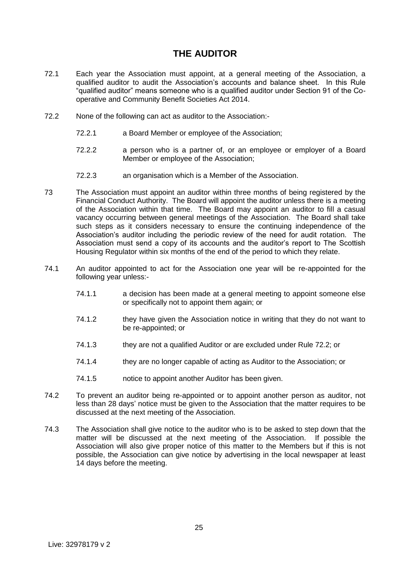## **THE AUDITOR**

- 72.1 Each year the Association must appoint, at a general meeting of the Association, a qualified auditor to audit the Association's accounts and balance sheet. In this Rule "qualified auditor" means someone who is a qualified auditor under Section 91 of the Cooperative and Community Benefit Societies Act 2014.
- 72.2 None of the following can act as auditor to the Association:-
	- 72.2.1 a Board Member or employee of the Association;
	- 72.2.2 a person who is a partner of, or an employee or employer of a Board Member or employee of the Association;
	- 72.2.3 an organisation which is a Member of the Association.
- 73 The Association must appoint an auditor within three months of being registered by the Financial Conduct Authority. The Board will appoint the auditor unless there is a meeting of the Association within that time. The Board may appoint an auditor to fill a casual vacancy occurring between general meetings of the Association. The Board shall take such steps as it considers necessary to ensure the continuing independence of the Association's auditor including the periodic review of the need for audit rotation. The Association must send a copy of its accounts and the auditor's report to The Scottish Housing Regulator within six months of the end of the period to which they relate.
- 74.1 An auditor appointed to act for the Association one year will be re-appointed for the following year unless:-
	- 74.1.1 a decision has been made at a general meeting to appoint someone else or specifically not to appoint them again; or
	- 74.1.2 they have given the Association notice in writing that they do not want to be re-appointed; or
	- 74.1.3 they are not a qualified Auditor or are excluded under Rule 72.2; or
	- 74.1.4 they are no longer capable of acting as Auditor to the Association; or
	- 74.1.5 notice to appoint another Auditor has been given.
- 74.2 To prevent an auditor being re-appointed or to appoint another person as auditor, not less than 28 days' notice must be given to the Association that the matter requires to be discussed at the next meeting of the Association.
- 74.3 The Association shall give notice to the auditor who is to be asked to step down that the matter will be discussed at the next meeting of the Association. If possible the Association will also give proper notice of this matter to the Members but if this is not possible, the Association can give notice by advertising in the local newspaper at least 14 days before the meeting.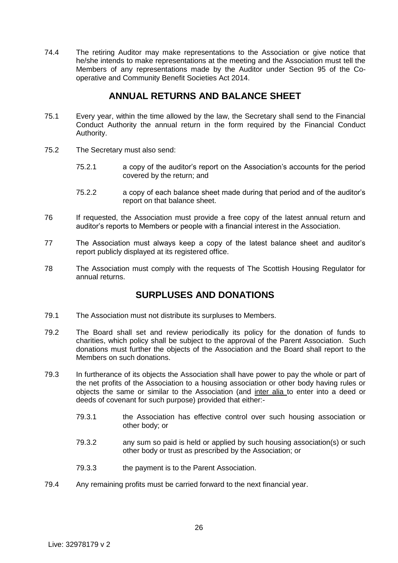74.4 The retiring Auditor may make representations to the Association or give notice that he/she intends to make representations at the meeting and the Association must tell the Members of any representations made by the Auditor under Section 95 of the Cooperative and Community Benefit Societies Act 2014.

## **ANNUAL RETURNS AND BALANCE SHEET**

- 75.1 Every year, within the time allowed by the law, the Secretary shall send to the Financial Conduct Authority the annual return in the form required by the Financial Conduct Authority.
- 75.2 The Secretary must also send:
	- 75.2.1 a copy of the auditor's report on the Association's accounts for the period covered by the return; and
	- 75.2.2 a copy of each balance sheet made during that period and of the auditor's report on that balance sheet.
- 76 If requested, the Association must provide a free copy of the latest annual return and auditor's reports to Members or people with a financial interest in the Association.
- 77 The Association must always keep a copy of the latest balance sheet and auditor's report publicly displayed at its registered office.
- 78 The Association must comply with the requests of The Scottish Housing Regulator for annual returns.

## **SURPLUSES AND DONATIONS**

- 79.1 The Association must not distribute its surpluses to Members.
- 79.2 The Board shall set and review periodically its policy for the donation of funds to charities, which policy shall be subject to the approval of the Parent Association. Such donations must further the objects of the Association and the Board shall report to the Members on such donations.
- 79.3 In furtherance of its objects the Association shall have power to pay the whole or part of the net profits of the Association to a housing association or other body having rules or objects the same or similar to the Association (and inter alia to enter into a deed or deeds of covenant for such purpose) provided that either:-
	- 79.3.1 the Association has effective control over such housing association or other body; or
	- 79.3.2 any sum so paid is held or applied by such housing association(s) or such other body or trust as prescribed by the Association; or
	- 79.3.3 the payment is to the Parent Association.
- 79.4 Any remaining profits must be carried forward to the next financial year.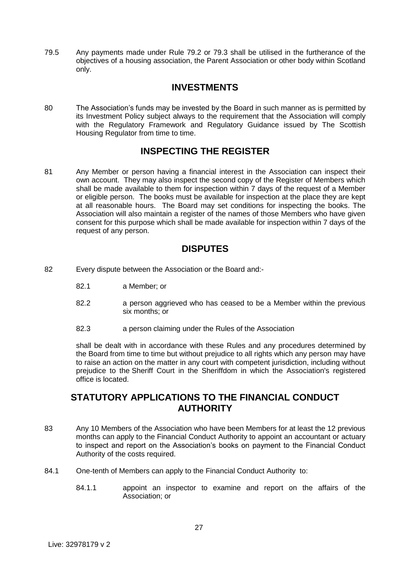79.5 Any payments made under Rule 79.2 or 79.3 shall be utilised in the furtherance of the objectives of a housing association, the Parent Association or other body within Scotland only.

## **INVESTMENTS**

80 The Association's funds may be invested by the Board in such manner as is permitted by its Investment Policy subject always to the requirement that the Association will comply with the Regulatory Framework and Regulatory Guidance issued by The Scottish Housing Regulator from time to time.

## **INSPECTING THE REGISTER**

81 Any Member or person having a financial interest in the Association can inspect their own account. They may also inspect the second copy of the Register of Members which shall be made available to them for inspection within 7 days of the request of a Member or eligible person. The books must be available for inspection at the place they are kept at all reasonable hours. The Board may set conditions for inspecting the books. The Association will also maintain a register of the names of those Members who have given consent for this purpose which shall be made available for inspection within 7 days of the request of any person.

## **DISPUTES**

- 82 Every dispute between the Association or the Board and:-
	- 82.1 a Member; or
	- 82.2 a person aggrieved who has ceased to be a Member within the previous six months; or
	- 82.3 a person claiming under the Rules of the Association

shall be dealt with in accordance with these Rules and any procedures determined by the Board from time to time but without prejudice to all rights which any person may have to raise an action on the matter in any court with competent jurisdiction, including without prejudice to the Sheriff Court in the Sheriffdom in which the Association's registered office is located.

## **STATUTORY APPLICATIONS TO THE FINANCIAL CONDUCT AUTHORITY**

- 83 Any 10 Members of the Association who have been Members for at least the 12 previous months can apply to the Financial Conduct Authority to appoint an accountant or actuary to inspect and report on the Association's books on payment to the Financial Conduct Authority of the costs required.
- 84.1 One-tenth of Members can apply to the Financial Conduct Authority to:
	- 84.1.1 appoint an inspector to examine and report on the affairs of the Association; or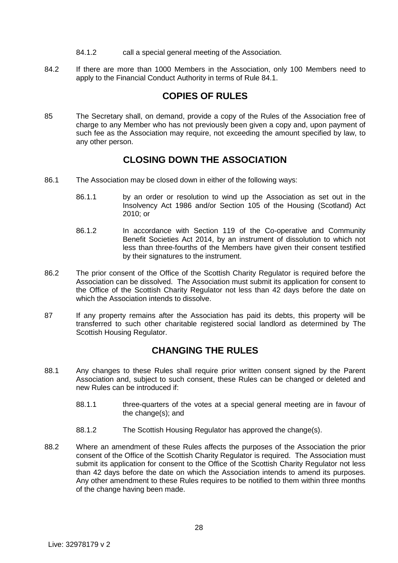- 84.1.2 call a special general meeting of the Association.
- 84.2 If there are more than 1000 Members in the Association, only 100 Members need to apply to the Financial Conduct Authority in terms of Rule 84.1.

## **COPIES OF RULES**

85 The Secretary shall, on demand, provide a copy of the Rules of the Association free of charge to any Member who has not previously been given a copy and, upon payment of such fee as the Association may require, not exceeding the amount specified by law, to any other person.

## **CLOSING DOWN THE ASSOCIATION**

- 86.1 The Association may be closed down in either of the following ways:
	- 86.1.1 by an order or resolution to wind up the Association as set out in the Insolvency Act 1986 and/or Section 105 of the Housing (Scotland) Act 2010; or
	- 86.1.2 In accordance with Section 119 of the Co-operative and Community Benefit Societies Act 2014, by an instrument of dissolution to which not less than three-fourths of the Members have given their consent testified by their signatures to the instrument.
- 86.2 The prior consent of the Office of the Scottish Charity Regulator is required before the Association can be dissolved. The Association must submit its application for consent to the Office of the Scottish Charity Regulator not less than 42 days before the date on which the Association intends to dissolve.
- 87 If any property remains after the Association has paid its debts, this property will be transferred to such other charitable registered social landlord as determined by The Scottish Housing Regulator.

## **CHANGING THE RULES**

- 88.1 Any changes to these Rules shall require prior written consent signed by the Parent Association and, subject to such consent, these Rules can be changed or deleted and new Rules can be introduced if:
	- 88.1.1 three-quarters of the votes at a special general meeting are in favour of the change(s); and
	- 88.1.2 The Scottish Housing Regulator has approved the change(s).
- 88.2 Where an amendment of these Rules affects the purposes of the Association the prior consent of the Office of the Scottish Charity Regulator is required. The Association must submit its application for consent to the Office of the Scottish Charity Regulator not less than 42 days before the date on which the Association intends to amend its purposes. Any other amendment to these Rules requires to be notified to them within three months of the change having been made.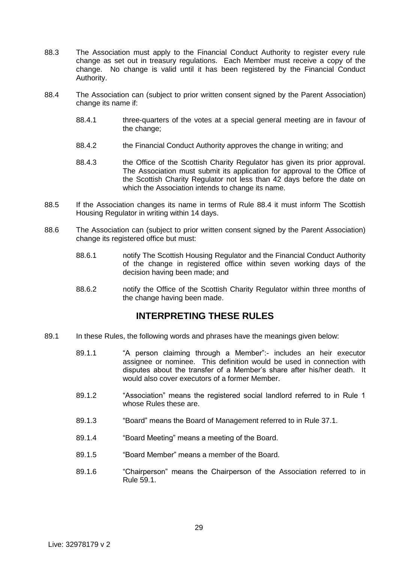- 88.3 The Association must apply to the Financial Conduct Authority to register every rule change as set out in treasury regulations. Each Member must receive a copy of the change. No change is valid until it has been registered by the Financial Conduct Authority.
- 88.4 The Association can (subject to prior written consent signed by the Parent Association) change its name if:
	- 88.4.1 three-quarters of the votes at a special general meeting are in favour of the change;
	- 88.4.2 the Financial Conduct Authority approves the change in writing; and
	- 88.4.3 the Office of the Scottish Charity Regulator has given its prior approval. The Association must submit its application for approval to the Office of the Scottish Charity Regulator not less than 42 days before the date on which the Association intends to change its name.
- 88.5 If the Association changes its name in terms of Rule 88.4 it must inform The Scottish Housing Regulator in writing within 14 days.
- 88.6 The Association can (subject to prior written consent signed by the Parent Association) change its registered office but must:
	- 88.6.1 notify The Scottish Housing Regulator and the Financial Conduct Authority of the change in registered office within seven working days of the decision having been made; and
	- 88.6.2 notify the Office of the Scottish Charity Regulator within three months of the change having been made.

## **INTERPRETING THESE RULES**

- 89.1 In these Rules, the following words and phrases have the meanings given below:
	- 89.1.1 "A person claiming through a Member":- includes an heir executor assignee or nominee. This definition would be used in connection with disputes about the transfer of a Member's share after his/her death. It would also cover executors of a former Member.
	- 89.1.2 "Association" means the registered social landlord referred to in Rule 1 whose Rules these are.
	- 89.1.3 "Board" means the Board of Management referred to in Rule 37.1.
	- 89.1.4 "Board Meeting" means a meeting of the Board.
	- 89.1.5 "Board Member" means a member of the Board.
	- 89.1.6 "Chairperson" means the Chairperson of the Association referred to in Rule 59.1.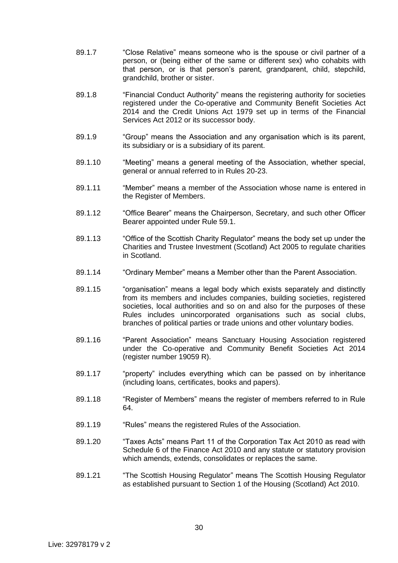- 89.1.7 "Close Relative" means someone who is the spouse or civil partner of a person, or (being either of the same or different sex) who cohabits with that person, or is that person's parent, grandparent, child, stepchild, grandchild, brother or sister.
- 89.1.8 "Financial Conduct Authority" means the registering authority for societies registered under the Co-operative and Community Benefit Societies Act 2014 and the Credit Unions Act 1979 set up in terms of the Financial Services Act 2012 or its successor body.
- 89.1.9 "Group" means the Association and any organisation which is its parent, its subsidiary or is a subsidiary of its parent.
- 89.1.10 "Meeting" means a general meeting of the Association, whether special, general or annual referred to in Rules 20-23.
- 89.1.11 "Member" means a member of the Association whose name is entered in the Register of Members.
- 89.1.12 "Office Bearer" means the Chairperson, Secretary, and such other Officer Bearer appointed under Rule 59.1.
- 89.1.13 "Office of the Scottish Charity Regulator" means the body set up under the Charities and Trustee Investment (Scotland) Act 2005 to regulate charities in Scotland.
- 89.1.14 "Ordinary Member" means a Member other than the Parent Association.
- 89.1.15 "organisation" means a legal body which exists separately and distinctly from its members and includes companies, building societies, registered societies, local authorities and so on and also for the purposes of these Rules includes unincorporated organisations such as social clubs, branches of political parties or trade unions and other voluntary bodies.
- 89.1.16 "Parent Association" means Sanctuary Housing Association registered under the Co-operative and Community Benefit Societies Act 2014 (register number 19059 R).
- 89.1.17 ""property" includes everything which can be passed on by inheritance (including loans, certificates, books and papers).
- 89.1.18 "Register of Members" means the register of members referred to in Rule 64.
- 89.1.19 "Rules" means the registered Rules of the Association.
- 89.1.20 "Taxes Acts" means Part 11 of the Corporation Tax Act 2010 as read with Schedule 6 of the Finance Act 2010 and any statute or statutory provision which amends, extends, consolidates or replaces the same.
- 89.1.21 "The Scottish Housing Regulator" means The Scottish Housing Regulator as established pursuant to Section 1 of the Housing (Scotland) Act 2010.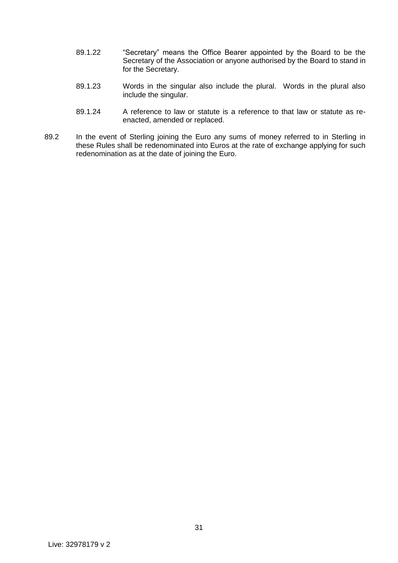- 89.1.22 "Secretary" means the Office Bearer appointed by the Board to be the Secretary of the Association or anyone authorised by the Board to stand in for the Secretary.
- 89.1.23 Words in the singular also include the plural. Words in the plural also include the singular.
- 89.1.24 A reference to law or statute is a reference to that law or statute as reenacted, amended or replaced.
- 89.2 In the event of Sterling joining the Euro any sums of money referred to in Sterling in these Rules shall be redenominated into Euros at the rate of exchange applying for such redenomination as at the date of joining the Euro.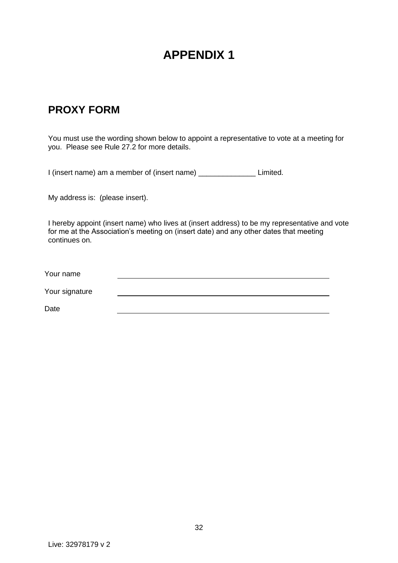## **APPENDIX 1**

## **PROXY FORM**

You must use the wording shown below to appoint a representative to vote at a meeting for you. Please see Rule 27.2 for more details.

I (insert name) am a member of (insert name) \_\_\_\_\_\_\_\_\_\_\_\_\_\_ Limited.

My address is: (please insert).

I hereby appoint (insert name) who lives at (insert address) to be my representative and vote for me at the Association's meeting on (insert date) and any other dates that meeting continues on.

Your name

Your signature

Date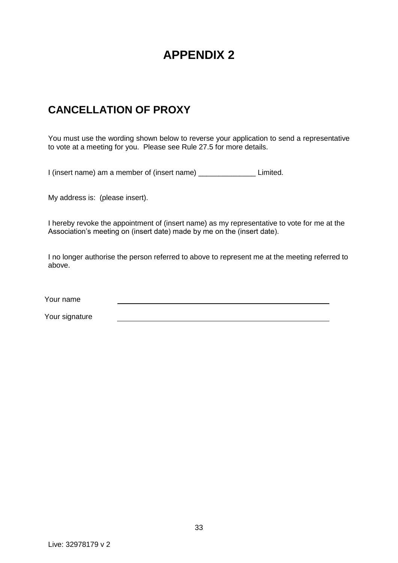## **APPENDIX 2**

## **CANCELLATION OF PROXY**

You must use the wording shown below to reverse your application to send a representative to vote at a meeting for you. Please see Rule 27.5 for more details.

I (insert name) am a member of (insert name) \_\_\_\_\_\_\_\_\_\_\_\_\_\_ Limited.

My address is: (please insert).

I hereby revoke the appointment of (insert name) as my representative to vote for me at the Association's meeting on (insert date) made by me on the (insert date).

I no longer authorise the person referred to above to represent me at the meeting referred to above.

Your name

Your signature